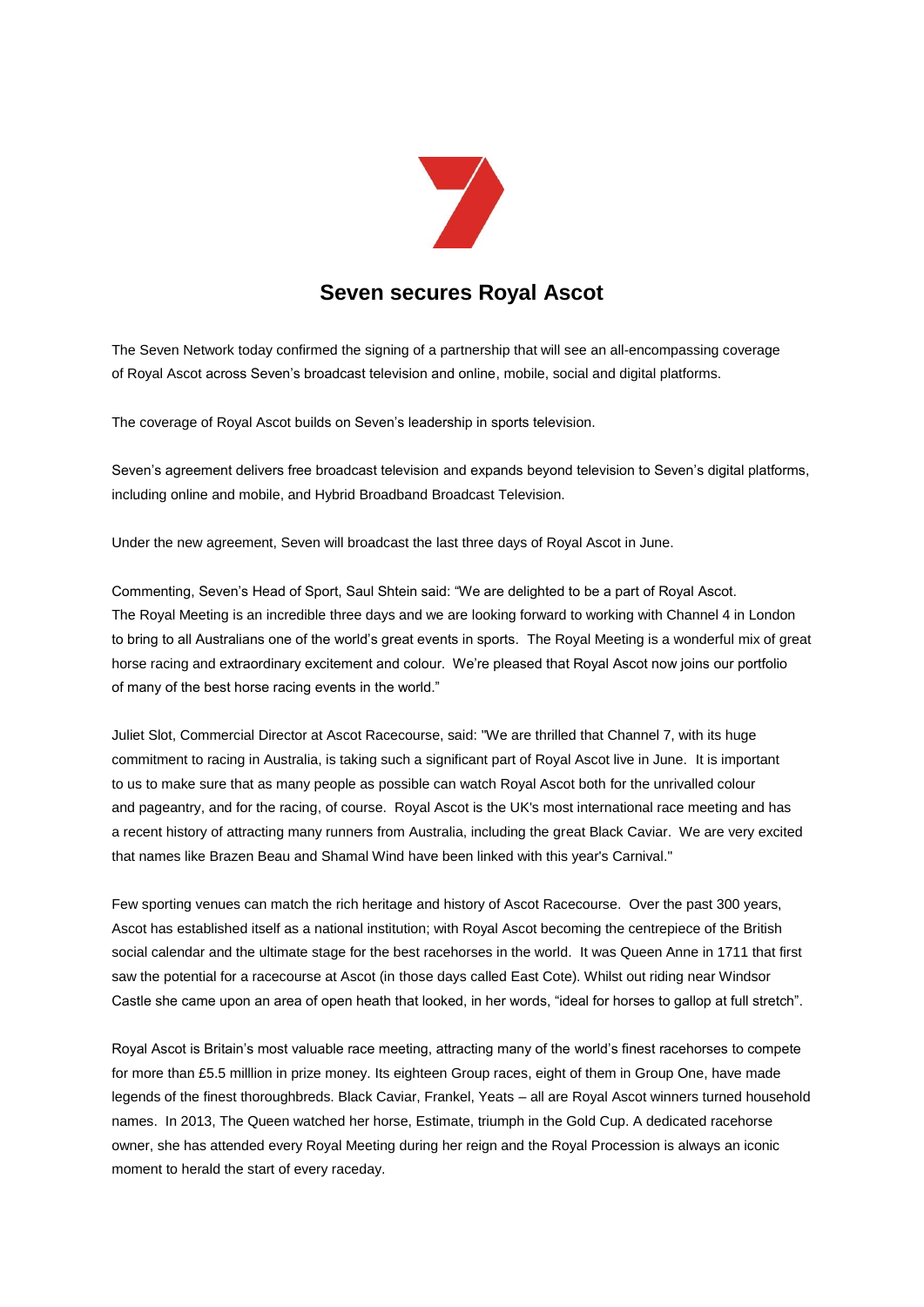

## **Seven secures Royal Ascot**

The Seven Network today confirmed the signing of a partnership that will see an all-encompassing coverage of Royal Ascot across Seven's broadcast television and online, mobile, social and digital platforms.

The coverage of Royal Ascot builds on Seven's leadership in sports television.

Seven's agreement delivers free broadcast television and expands beyond television to Seven's digital platforms, including online and mobile, and Hybrid Broadband Broadcast Television.

Under the new agreement, Seven will broadcast the last three days of Royal Ascot in June.

Commenting, Seven's Head of Sport, Saul Shtein said: "We are delighted to be a part of Royal Ascot. The Royal Meeting is an incredible three days and we are looking forward to working with Channel 4 in London to bring to all Australians one of the world's great events in sports. The Royal Meeting is a wonderful mix of great horse racing and extraordinary excitement and colour. We're pleased that Royal Ascot now joins our portfolio of many of the best horse racing events in the world."

Juliet Slot, Commercial Director at Ascot Racecourse, said: "We are thrilled that Channel 7, with its huge commitment to racing in Australia, is taking such a significant part of Royal Ascot live in June. It is important to us to make sure that as many people as possible can watch Royal Ascot both for the unrivalled colour and pageantry, and for the racing, of course. Royal Ascot is the UK's most international race meeting and has a recent history of attracting many runners from Australia, including the great Black Caviar. We are very excited that names like Brazen Beau and Shamal Wind have been linked with this year's Carnival."

Few sporting venues can match the rich heritage and history of Ascot Racecourse. Over the past 300 years, Ascot has established itself as a national institution; with Royal Ascot becoming the centrepiece of the British social calendar and the ultimate stage for the best racehorses in the world. It was Queen Anne in 1711 that first saw the potential for a racecourse at Ascot (in those days called East Cote). Whilst out riding near Windsor Castle she came upon an area of open heath that looked, in her words, "ideal for horses to gallop at full stretch".

Royal Ascot is Britain's most valuable race meeting, attracting many of the world's finest racehorses to compete for more than £5.5 milllion in prize money. Its eighteen Group races, eight of them in Group One, have made legends of the finest thoroughbreds. Black Caviar, Frankel, Yeats – all are Royal Ascot winners turned household names. In 2013, The Queen watched her horse, Estimate, triumph in the Gold Cup. A dedicated racehorse owner, she has attended every Royal Meeting during her reign and the Royal Procession is always an iconic moment to herald the start of every raceday.